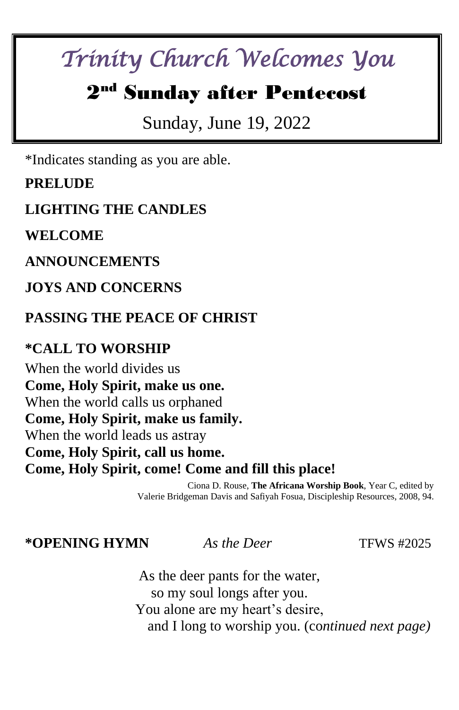# *Trinity Church Welcomes You*

# $2^{\mathrm{nd}}$  Sunday after Pentecost

Sunday, June 19, 2022

\*Indicates standing as you are able.

**PRELUDE** 

**LIGHTING THE CANDLES**

**WELCOME** 

**ANNOUNCEMENTS**

**JOYS AND CONCERNS**

**PASSING THE PEACE OF CHRIST**

#### **\*CALL TO WORSHIP**

When the world divides us **Come, Holy Spirit, make us one.** When the world calls us orphaned **Come, Holy Spirit, make us family.** When the world leads us astray **Come, Holy Spirit, call us home. Come, Holy Spirit, come! Come and fill this place!**

> Ciona D. Rouse, **The Africana Worship Book**, Year C, edited by Valerie Bridgeman Davis and Safiyah Fosua, Discipleship Resources, 2008, 94.

**\*OPENING HYMN** *As the Deer* TFWS #2025

As the deer pants for the water, so my soul longs after you. You alone are my heart's desire, and I long to worship you. (co*ntinued next page)*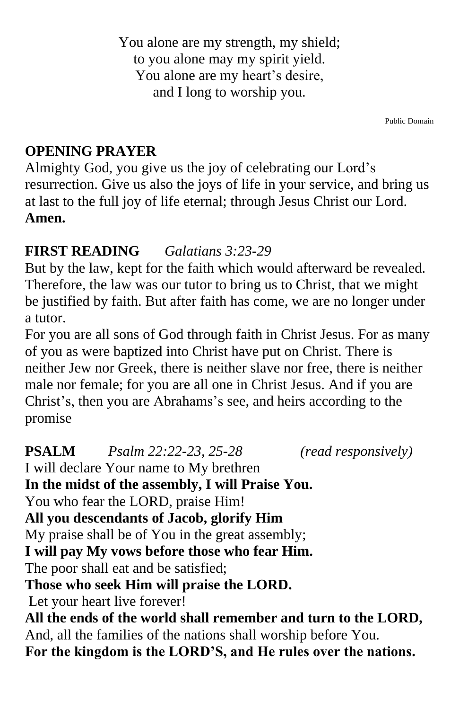You alone are my strength, my shield; to you alone may my spirit yield. You alone are my heart's desire, and I long to worship you.

Public Domain

## **OPENING PRAYER**

Almighty God, you give us the joy of celebrating our Lord's resurrection. Give us also the joys of life in your service, and bring us at last to the full joy of life eternal; through Jesus Christ our Lord. **Amen.**

# **FIRST READING** *Galatians 3:23-29*

But by the law, kept for the faith which would afterward be revealed. Therefore, the law was our tutor to bring us to Christ, that we might be justified by faith. But after faith has come, we are no longer under a tutor.

For you are all sons of God through faith in Christ Jesus. For as many of you as were baptized into Christ have put on Christ. There is neither Jew nor Greek, there is neither slave nor free, there is neither male nor female; for you are all one in Christ Jesus. And if you are Christ's, then you are Abrahams's see, and heirs according to the promise

**PSALM** *Psalm 22:22-23, 25-28 (read responsively)* I will declare Your name to My brethren **In the midst of the assembly, I will Praise You.**  You who fear the LORD, praise Him! **All you descendants of Jacob, glorify Him**  My praise shall be of You in the great assembly; **I will pay My vows before those who fear Him.** The poor shall eat and be satisfied; **Those who seek Him will praise the LORD.** Let your heart live forever! **All the ends of the world shall remember and turn to the LORD,**  And, all the families of the nations shall worship before You. **For the kingdom is the LORD'S, and He rules over the nations.**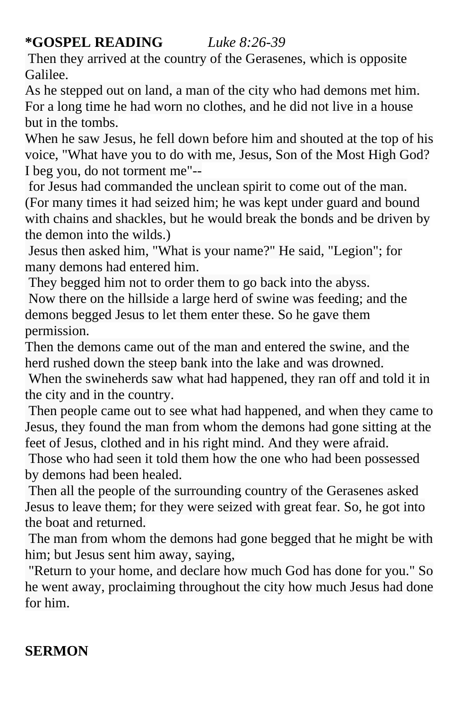# **\*GOSPEL READING** *Luke 8:26-39*

Then they arrived at the country of the Gerasenes, which is opposite Galilee.

As he stepped out on land, a man of the city who had demons met him. For a long time he had worn no clothes, and he did not live in a house but in the tombs.

When he saw Jesus, he fell down before him and shouted at the top of his voice, "What have you to do with me, Jesus, Son of the Most High God? I beg you, do not torment me"--

for Jesus had commanded the unclean spirit to come out of the man. (For many times it had seized him; he was kept under guard and bound with chains and shackles, but he would break the bonds and be driven by the demon into the wilds.)

Jesus then asked him, "What is your name?" He said, "Legion"; for many demons had entered him.

They begged him not to order them to go back into the abyss. Now there on the hillside a large herd of swine was feeding; and the demons begged Jesus to let them enter these. So he gave them permission.

Then the demons came out of the man and entered the swine, and the herd rushed down the steep bank into the lake and was drowned.

When the swineherds saw what had happened, they ran off and told it in the city and in the country.

Then people came out to see what had happened, and when they came to Jesus, they found the man from whom the demons had gone sitting at the feet of Jesus, clothed and in his right mind. And they were afraid.

Those who had seen it told them how the one who had been possessed by demons had been healed.

Then all the people of the surrounding country of the Gerasenes asked Jesus to leave them; for they were seized with great fear. So, he got into the boat and returned.

The man from whom the demons had gone begged that he might be with him; but Jesus sent him away, saying,

"Return to your home, and declare how much God has done for you." So he went away, proclaiming throughout the city how much Jesus had done for him.

# **SERMON**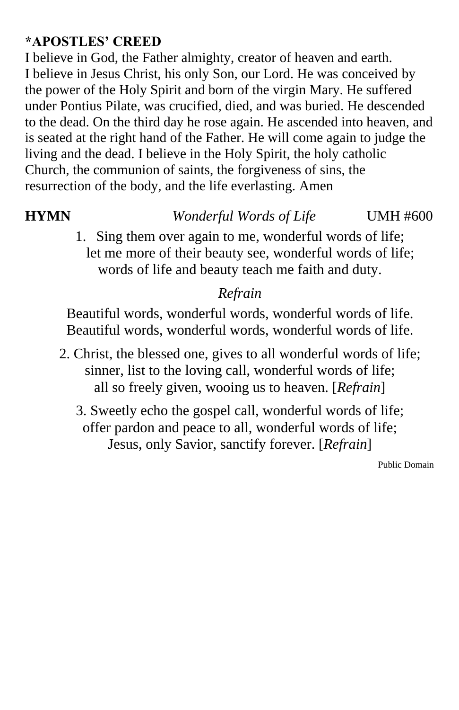#### **\*APOSTLES' CREED**

I believe in God, the Father almighty, creator of heaven and earth. I believe in Jesus Christ, his only Son, our Lord. He was conceived by the power of the Holy Spirit and born of the virgin Mary. He suffered under Pontius Pilate, was crucified, died, and was buried. He descended to the dead. On the third day he rose again. He ascended into heaven, and is seated at the right hand of the Father. He will come again to judge the living and the dead. I believe in the Holy Spirit, the holy catholic Church, the communion of saints, the forgiveness of sins, the resurrection of the body, and the life everlasting. Amen

#### **HYMN** *Wonderful Words of Life* UMH #600

1. Sing them over again to me, wonderful words of life; let me more of their beauty see, wonderful words of life; words of life and beauty teach me faith and duty.

#### *Refrain*

Beautiful words, wonderful words, wonderful words of life. Beautiful words, wonderful words, wonderful words of life.

- 2. Christ, the blessed one, gives to all wonderful words of life; sinner, list to the loving call, wonderful words of life; all so freely given, wooing us to heaven. [*Refrain*]
	- 3. Sweetly echo the gospel call, wonderful words of life; offer pardon and peace to all, wonderful words of life; Jesus, only Savior, sanctify forever. [*Refrain*]

Public Domain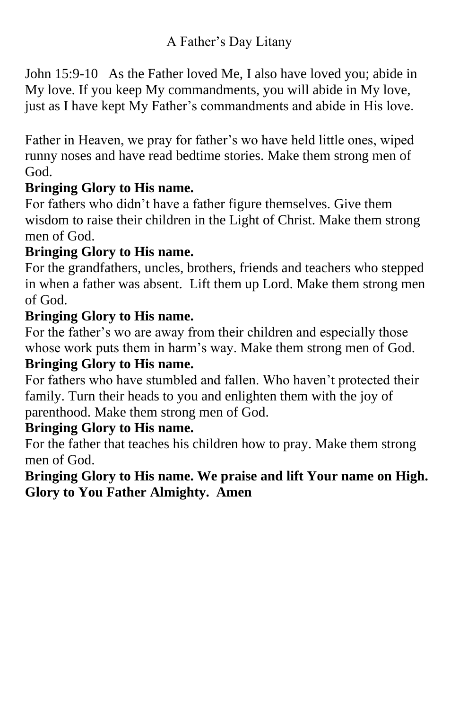# A Father's Day Litany

John 15:9-10 As the Father loved Me, I also have loved you; abide in My love. If you keep My commandments, you will abide in My love, just as I have kept My Father's commandments and abide in His love.

Father in Heaven, we pray for father's wo have held little ones, wiped runny noses and have read bedtime stories. Make them strong men of God.

### **Bringing Glory to His name.**

For fathers who didn't have a father figure themselves. Give them wisdom to raise their children in the Light of Christ. Make them strong men of God.

### **Bringing Glory to His name.**

For the grandfathers, uncles, brothers, friends and teachers who stepped in when a father was absent.Lift them up Lord. Make them strong men of God.

#### **Bringing Glory to His name.**

For the father's wo are away from their children and especially those whose work puts them in harm's way. Make them strong men of God.

#### **Bringing Glory to His name.**

For fathers who have stumbled and fallen. Who haven't protected their family. Turn their heads to you and enlighten them with the joy of parenthood. Make them strong men of God.

#### **Bringing Glory to His name.**

For the father that teaches his children how to pray. Make them strong men of God.

### **Bringing Glory to His name. We praise and lift Your name on High. Glory to You Father Almighty. Amen**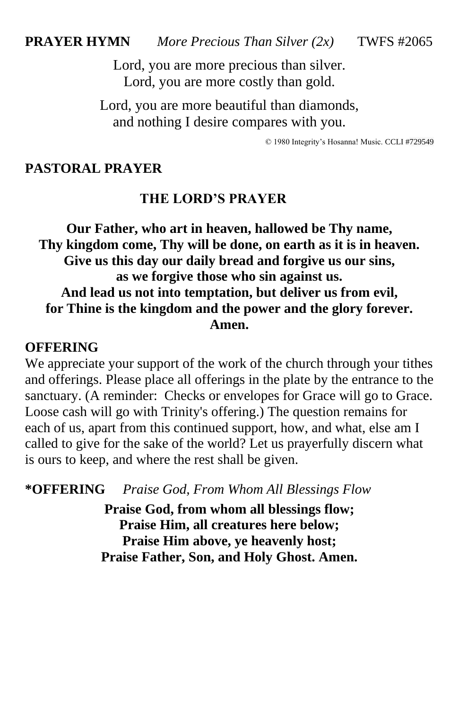**PRAYER HYMN** *More Precious Than Silver (2x)* TWFS #2065

Lord, you are more precious than silver. Lord, you are more costly than gold.

Lord, you are more beautiful than diamonds, and nothing I desire compares with you.

© 1980 Integrity's Hosanna! Music. CCLI #729549

#### **PASTORAL PRAYER**

#### **THE LORD'S PRAYER**

#### **Our Father, who art in heaven, hallowed be Thy name, Thy kingdom come, Thy will be done, on earth as it is in heaven. Give us this day our daily bread and forgive us our sins, as we forgive those who sin against us. And lead us not into temptation, but deliver us from evil, for Thine is the kingdom and the power and the glory forever. Amen.**

#### **OFFERING**

We appreciate your support of the work of the church through your tithes and offerings. Please place all offerings in the plate by the entrance to the sanctuary. (A reminder: Checks or envelopes for Grace will go to Grace. Loose cash will go with Trinity's offering.) The question remains for each of us, apart from this continued support, how, and what, else am I called to give for the sake of the world? Let us prayerfully discern what is ours to keep, and where the rest shall be given.

**\*OFFERING** *Praise God, From Whom All Blessings Flow* 

**Praise God, from whom all blessings flow; Praise Him, all creatures here below; Praise Him above, ye heavenly host; Praise Father, Son, and Holy Ghost. Amen.**